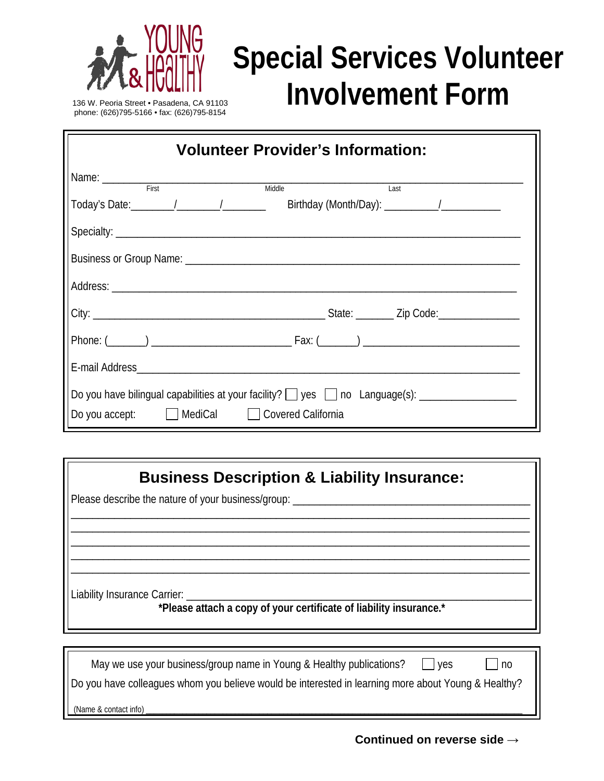

## **Special Services Volunteer** <sup>03</sup> **Involvement Form**

136 W. Peoria Street • Pasadena, CA 911 phone: (626)795-5166 • fax: (626)795 -8154

| <b>Volunteer Provider's Information:</b>  |  |  |
|-------------------------------------------|--|--|
| Name: First<br>Middle<br>Last             |  |  |
|                                           |  |  |
|                                           |  |  |
|                                           |  |  |
|                                           |  |  |
|                                           |  |  |
|                                           |  |  |
|                                           |  |  |
| Do you accept: MediCal Covered California |  |  |

## **Business Description & Liability Insurance:**

\_\_\_\_\_\_\_\_\_\_\_\_\_\_\_\_\_\_\_\_\_\_\_\_\_\_\_\_\_\_\_\_\_\_\_\_\_\_\_\_\_\_\_\_\_\_\_\_\_\_\_\_\_\_\_\_\_\_\_\_\_\_\_\_\_\_\_\_\_\_\_\_\_\_\_\_\_\_\_\_\_\_\_\_\_ \_\_\_\_\_\_\_\_\_\_\_\_\_\_\_\_\_\_\_\_\_\_\_\_\_\_\_\_\_\_\_\_\_\_\_\_\_\_\_\_\_\_\_\_\_\_\_\_\_\_\_\_\_\_\_\_\_\_\_\_\_\_\_\_\_\_\_\_\_\_\_\_\_\_\_\_\_\_\_\_\_\_\_\_\_ \_\_\_\_\_\_\_\_\_\_\_\_\_\_\_\_\_\_\_\_\_\_\_\_\_\_\_\_\_\_\_\_\_\_\_\_\_\_\_\_\_\_\_\_\_\_\_\_\_\_\_\_\_\_\_\_\_\_\_\_\_\_\_\_\_\_\_\_\_\_\_\_\_\_\_\_\_\_\_\_\_\_\_\_\_ \_\_\_\_\_\_\_\_\_\_\_\_\_\_\_\_\_\_\_\_\_\_\_\_\_\_\_\_\_\_\_\_\_\_\_\_\_\_\_\_\_\_\_\_\_\_\_\_\_\_\_\_\_\_\_\_\_\_\_\_\_\_\_\_\_\_\_\_\_\_\_\_\_\_\_\_\_\_\_\_\_\_\_\_\_ \_\_\_\_\_\_\_\_\_\_\_\_\_\_\_\_\_\_\_\_\_\_\_\_\_\_\_\_\_\_\_\_\_\_\_\_\_\_\_\_\_\_\_\_\_\_\_\_\_\_\_\_\_\_\_\_\_\_\_\_\_\_\_\_\_\_\_\_\_\_\_\_\_\_\_\_\_\_\_\_\_\_\_\_\_

Please describe the nature of your business/group: \_

Liability Insurance Carrier: \_

**\*Please attach a copy of your certificate of liability insurance.\***

| May we use your business/group name in Young & Healthy publications?<br>l ves                       | no |  |
|-----------------------------------------------------------------------------------------------------|----|--|
| Do you have colleagues whom you believe would be interested in learning more about Young & Healthy? |    |  |
| (Name & contact info)                                                                               |    |  |